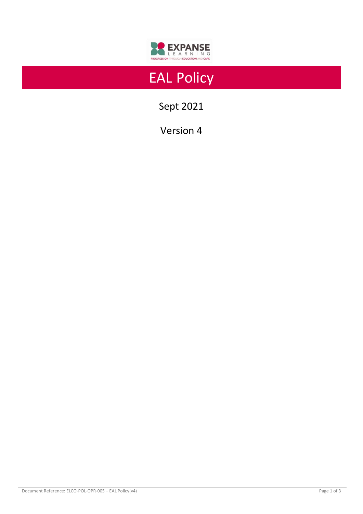

# EAL Policy

Sept 2021

Version 4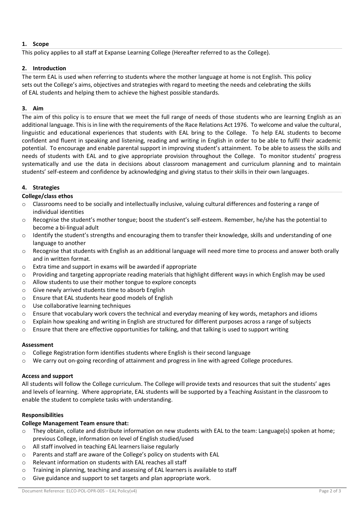# **1. Scope**

This policy applies to all staff at Expanse Learning College (Hereafter referred to as the College).

#### **2. Introduction**

The term EAL is used when referring to students where the mother language at home is not English. This policy sets out the College's aims, objectives and strategies with regard to meeting the needs and celebrating the skills of EAL students and helping them to achieve the highest possible standards.

#### **3. Aim**

The aim of this policy is to ensure that we meet the full range of needs of those students who are learning English as an additional language. This is in line with the requirements of the Race Relations Act 1976. To welcome and value the cultural, linguistic and educational experiences that students with EAL bring to the College. To help EAL students to become confident and fluent in speaking and listening, reading and writing in English in order to be able to fulfil their academic potential. To encourage and enable parental support in improving student's attainment. To be able to assess the skills and needs of students with EAL and to give appropriate provision throughout the College. To monitor students' progress systematically and use the data in decisions about classroom management and curriculum planning and to maintain students' self-esteem and confidence by acknowledging and giving status to their skills in their own languages.

## **4. Strategies**

## **College/class ethos**

- $\circ$  Classrooms need to be socially and intellectually inclusive, valuing cultural differences and fostering a range of individual identities
- o Recognise the student's mother tongue; boost the student's self-esteem. Remember, he/she has the potential to become a bi-lingual adult
- o Identify the student's strengths and encouraging them to transfer their knowledge, skills and understanding of one language to another
- $\circ$  Recognise that students with English as an additional language will need more time to process and answer both orally and in written format.
- o Extra time and support in exams will be awarded if appropriate
- $\circ$  Providing and targeting appropriate reading materials that highlight different ways in which English may be used
- o Allow students to use their mother tongue to explore concepts
- o Give newly arrived students time to absorb English
- o Ensure that EAL students hear good models of English
- o Use collaborative learning techniques
- o Ensure that vocabulary work covers the technical and everyday meaning of key words, metaphors and idioms
- o Explain how speaking and writing in English are structured for different purposes across a range of subjects
- o Ensure that there are effective opportunities for talking, and that talking is used to support writing

#### **Assessment**

- $\circ$  College Registration form identifies students where English is their second language
- o We carry out on-going recording of attainment and progress in line with agreed College procedures.

#### **Access and support**

All students will follow the College curriculum. The College will provide texts and resources that suit the students' ages and levels of learning. Where appropriate, EAL students will be supported by a Teaching Assistant in the classroom to enable the student to complete tasks with understanding.

# **Responsibilities**

#### **College Management Team ensure that:**

- o They obtain, collate and distribute information on new students with EAL to the team: Language(s) spoken at home; previous College, information on level of English studied/used
- o All staff involved in teaching EAL learners liaise regularly
- o Parents and staff are aware of the College's policy on students with EAL
- o Relevant information on students with EAL reaches all staff
- o Training in planning, teaching and assessing of EAL learners is available to staff
- o Give guidance and support to set targets and plan appropriate work.